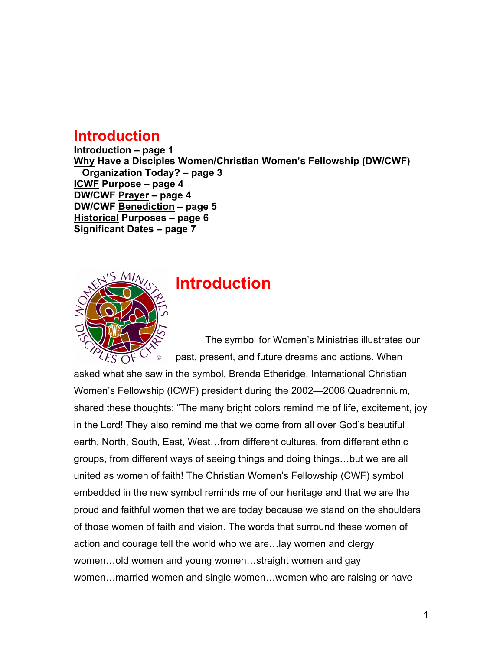## **Introduction**

**Introduction – page 1 [Why](#page-2-0) Have a Disciples Women/Christian Women's Fellowship (DW/CWF) Organization Today? – page 3 [ICWF](#page-3-0) Purpose – page 4 DW/CWF [Prayer](#page-3-0) – page 4 DW/CWF [Benediction](#page-4-0) – page 5 [Historical](#page-5-0) Purposes – page 6 [Significant](#page-6-0) Dates – page 7**



# **Introduction**

The symbol for Women's Ministries illustrates our past, present, and future dreams and actions. When

asked what she saw in the symbol, Brenda Etheridge, International Christian Women's Fellowship (ICWF) president during the 2002—2006 Quadrennium, shared these thoughts: "The many bright colors remind me of life, excitement, joy in the Lord! They also remind me that we come from all over God's beautiful earth, North, South, East, West…from different cultures, from different ethnic groups, from different ways of seeing things and doing things…but we are all united as women of faith! The Christian Women's Fellowship (CWF) symbol embedded in the new symbol reminds me of our heritage and that we are the proud and faithful women that we are today because we stand on the shoulders of those women of faith and vision. The words that surround these women of action and courage tell the world who we are…lay women and clergy women…old women and young women…straight women and gay women…married women and single women…women who are raising or have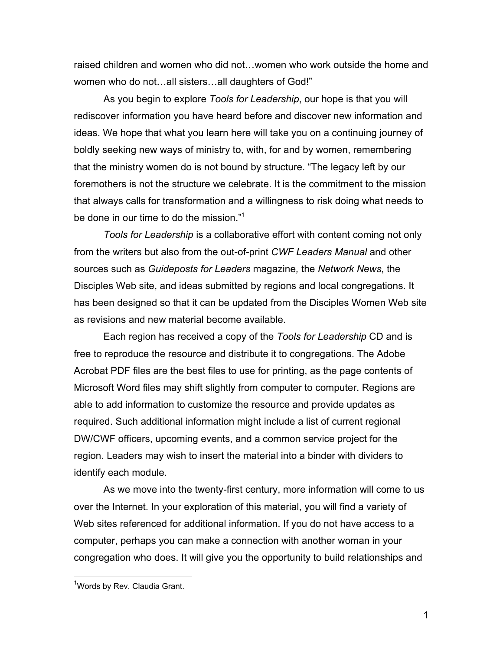raised children and women who did not…women who work outside the home and women who do not…all sisters…all daughters of God!"

As you begin to explore *Tools for Leadership*, our hope is that you will rediscover information you have heard before and discover new information and ideas. We hope that what you learn here will take you on a continuing journey of boldly seeking new ways of ministry to, with, for and by women, remembering that the ministry women do is not bound by structure. "The legacy left by our foremothers is not the structure we celebrate. It is the commitment to the mission that always calls for transformation and a willingness to risk doing what needs to be done in our time to do the mission."<sup>1</sup>

*Tools for Leadership* is a collaborative effort with content coming not only from the writers but also from the out-of-print *CWF Leaders Manual* and other sources such as *Guideposts for Leaders* magazine*,* the *Network News*, the Disciples Web site, and ideas submitted by regions and local congregations. It has been designed so that it can be updated from the Disciples Women Web site as revisions and new material become available.

Each region has received a copy of the *Tools for Leadership* CD and is free to reproduce the resource and distribute it to congregations. The Adobe Acrobat PDF files are the best files to use for printing, as the page contents of Microsoft Word files may shift slightly from computer to computer. Regions are able to add information to customize the resource and provide updates as required. Such additional information might include a list of current regional DW/CWF officers, upcoming events, and a common service project for the region. Leaders may wish to insert the material into a binder with dividers to identify each module.

As we move into the twenty-first century, more information will come to us over the Internet. In your exploration of this material, you will find a variety of Web sites referenced for additional information. If you do not have access to a computer, perhaps you can make a connection with another woman in your congregation who does. It will give you the opportunity to build relationships and

<sup>&</sup>lt;u>.</u><br><sup>1</sup>Words by Rev. Claudia Grant.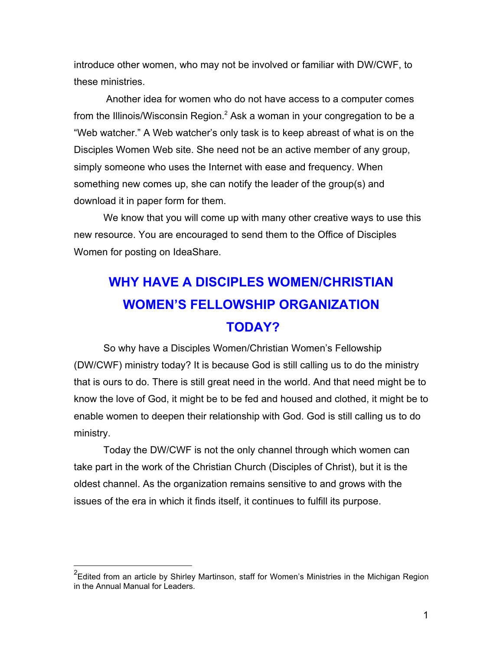<span id="page-2-0"></span>introduce other women, who may not be involved or familiar with DW/CWF, to these ministries.

 Another idea for women who do not have access to a computer comes from the Illinois/Wisconsin Region. $^{\text{2}}$  Ask a woman in your congregation to be a "Web watcher." A Web watcher's only task is to keep abreast of what is on the Disciples Women Web site. She need not be an active member of any group, simply someone who uses the Internet with ease and frequency. When something new comes up, she can notify the leader of the group(s) and download it in paper form for them.

We know that you will come up with many other creative ways to use this new resource. You are encouraged to send them to the Office of Disciples Women for posting on IdeaShare.

# **WHY HAVE A DISCIPLES WOMEN/CHRISTIAN WOMEN'S FELLOWSHIP ORGANIZATION TODAY?**

So why have a Disciples Women/Christian Women's Fellowship (DW/CWF) ministry today? It is because God is still calling us to do the ministry that is ours to do. There is still great need in the world. And that need might be to know the love of God, it might be to be fed and housed and clothed, it might be to enable women to deepen their relationship with God. God is still calling us to do ministry.

Today the DW/CWF is not the only channel through which women can take part in the work of the Christian Church (Disciples of Christ), but it is the oldest channel. As the organization remains sensitive to and grows with the issues of the era in which it finds itself, it continues to fulfill its purpose.

 <sup>2</sup> Edited from an article by Shirley Martinson, staff for Women's Ministries in the Michigan Region in the Annual Manual for Leaders.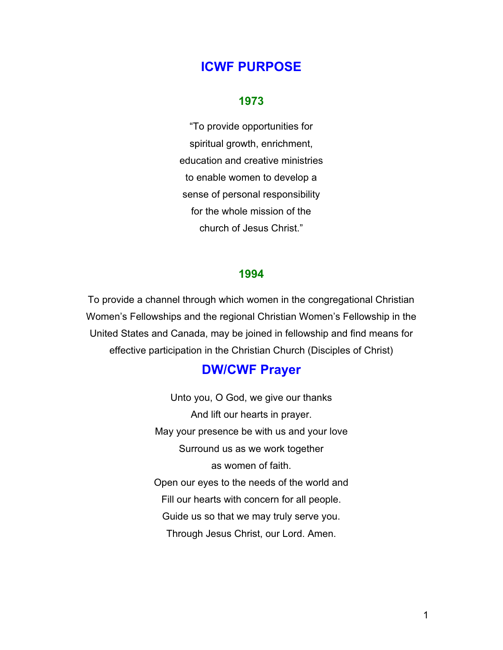### <span id="page-3-0"></span>**ICWF PURPOSE**

#### **1973**

"To provide opportunities for spiritual growth, enrichment, education and creative ministries to enable women to develop a sense of personal responsibility for the whole mission of the church of Jesus Christ."

#### **1994**

To provide a channel through which women in the congregational Christian Women's Fellowships and the regional Christian Women's Fellowship in the United States and Canada, may be joined in fellowship and find means for effective participation in the Christian Church (Disciples of Christ)

### **DW/CWF Prayer**

Unto you, O God, we give our thanks And lift our hearts in prayer. May your presence be with us and your love Surround us as we work together as women of faith. Open our eyes to the needs of the world and Fill our hearts with concern for all people. Guide us so that we may truly serve you. Through Jesus Christ, our Lord. Amen.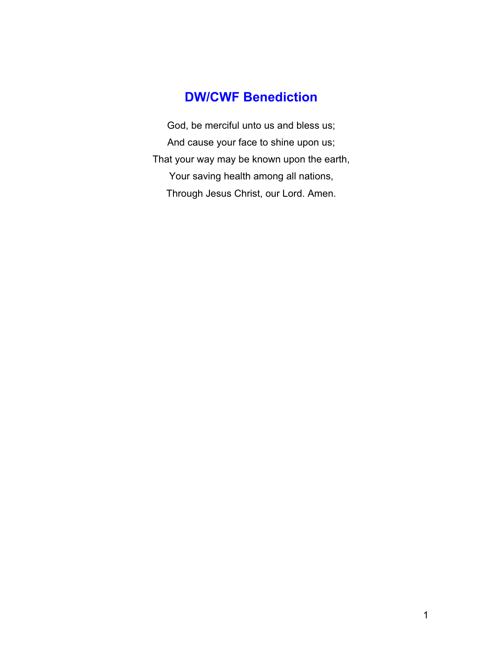## **DW/CWF Benediction**

<span id="page-4-0"></span>God, be merciful unto us and bless us; And cause your face to shine upon us; That your way may be known upon the earth, Your saving health among all nations, Through Jesus Christ, our Lord. Amen.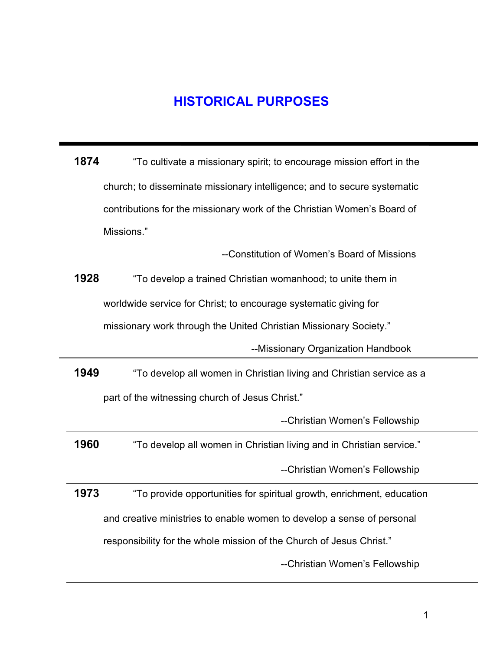# **HISTORICAL PURPOSES**

<span id="page-5-0"></span>**1874** "To cultivate a missionary spirit; to encourage mission effort in the church; to disseminate missionary intelligence; and to secure systematic contributions for the missionary work of the Christian Women's Board of Missions."

--Constitution of Women's Board of Missions

**1928** "To develop a trained Christian womanhood; to unite them in worldwide service for Christ; to encourage systematic giving for missionary work through the United Christian Missionary Society."

--Missionary Organization Handbook

**1949** "To develop all women in Christian living and Christian service as a part of the witnessing church of Jesus Christ."

--Christian Women's Fellowship

**1960** "To develop all women in Christian living and in Christian service."

--Christian Women's Fellowship

**1973** "To provide opportunities for spiritual growth, enrichment, education and creative ministries to enable women to develop a sense of personal

responsibility for the whole mission of the Church of Jesus Christ."

--Christian Women's Fellowship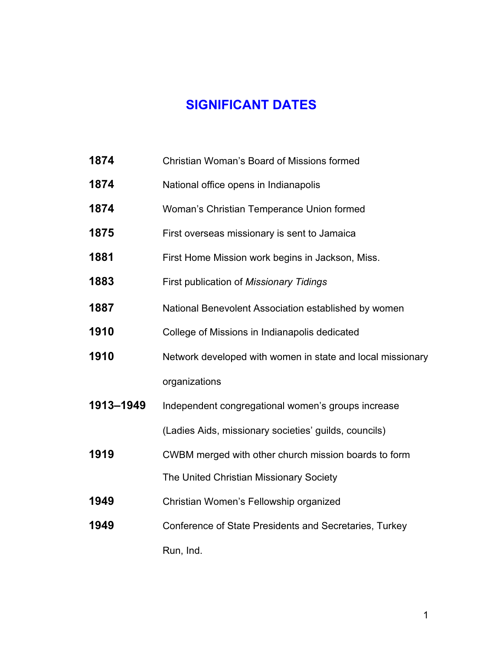# **SIGNIFICANT DATES**

- <span id="page-6-0"></span>Christian Woman's Board of Missions formed
- National office opens in Indianapolis
- Woman's Christian Temperance Union formed
- First overseas missionary is sent to Jamaica
- First Home Mission work begins in Jackson, Miss.
- First publication of *Missionary Tidings*
- National Benevolent Association established by women
- College of Missions in Indianapolis dedicated
- Network developed with women in state and local missionary organizations
- **1913–1949** Independent congregational women's groups increase (Ladies Aids, missionary societies' guilds, councils)
- CWBM merged with other church mission boards to form The United Christian Missionary Society
- Christian Women's Fellowship organized
- Conference of State Presidents and Secretaries, Turkey Run, Ind.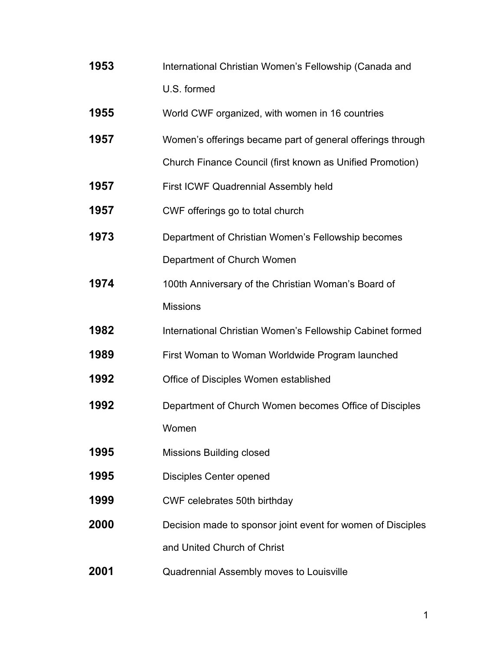| 1953 | International Christian Women's Fellowship (Canada and |
|------|--------------------------------------------------------|
|      | U.S. formed                                            |

- World CWF organized, with women in 16 countries
- Women's offerings became part of general offerings through
	- Church Finance Council (first known as Unified Promotion)
- First ICWF Quadrennial Assembly held
- CWF offerings go to total church
- Department of Christian Women's Fellowship becomes Department of Church Women
- 100th Anniversary of the Christian Woman's Board of Missions
- International Christian Women's Fellowship Cabinet formed
- First Woman to Woman Worldwide Program launched
- Office of Disciples Women established
- Department of Church Women becomes Office of Disciples Women
- Missions Building closed
- Disciples Center opened
- CWF celebrates 50th birthday
- Decision made to sponsor joint event for women of Disciples and United Church of Christ
- **Quadrennial Assembly moves to Louisville**